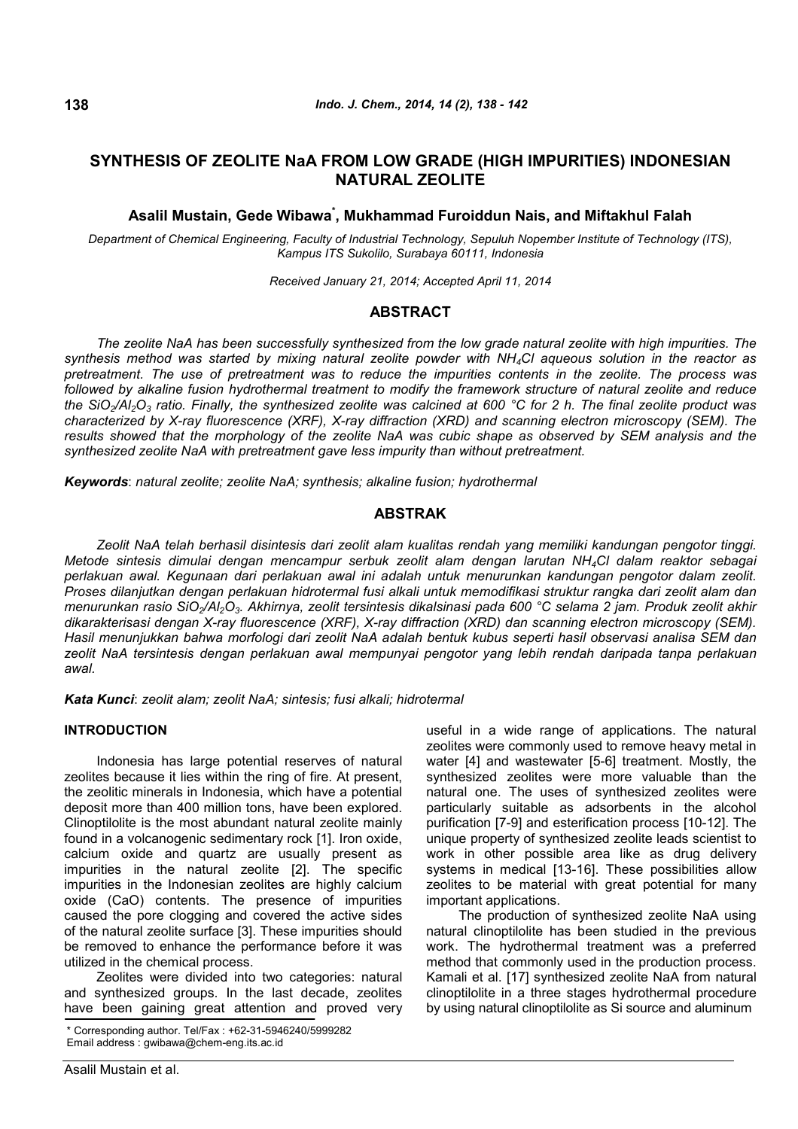# **SYNTHESIS OF ZEOLITE NaA FROM LOW GRADE (HIGH IMPURITIES) INDONESIAN NATURAL ZEOLITE**

# **Asalil Mustain, Gede Wibawa\* , Mukhammad Furoiddun Nais, and Miftakhul Falah**

*Department of Chemical Engineering, Faculty of Industrial Technology, Sepuluh Nopember Institute of Technology (ITS), Kampus ITS Sukolilo, Surabaya 60111, Indonesia*

*Received January 21, 2014; Accepted April 11, 2014*

### **ABSTRACT**

*The zeolite NaA has been successfully synthesized from the low grade natural zeolite with high impurities. The synthesis method was started by mixing natural zeolite powder with NH4Cl aqueous solution in the reactor as pretreatment. The use of pretreatment was to reduce the impurities contents in the zeolite. The process was followed by alkaline fusion hydrothermal treatment to modify the framework structure of natural zeolite and reduce the SiO2/Al2O<sup>3</sup> ratio. Finally, the synthesized zeolite was calcined at 600 °C for 2 h. The final zeolite product was characterized by X-ray fluorescence (XRF), X-ray diffraction (XRD) and scanning electron microscopy (SEM). The results showed that the morphology of the zeolite NaA was cubic shape as observed by SEM analysis and the synthesized zeolite NaA with pretreatment gave less impurity than without pretreatment.*

*Keywords*: *natural zeolite; zeolite NaA; synthesis; alkaline fusion; hydrothermal*

## **ABSTRAK**

*Zeolit NaA telah berhasil disintesis dari zeolit alam kualitas rendah yang memiliki kandungan pengotor tinggi. Metode sintesis dimulai dengan mencampur serbuk zeolit alam dengan larutan NH4Cl dalam reaktor sebagai perlakuan awal. Kegunaan dari perlakuan awal ini adalah untuk menurunkan kandungan pengotor dalam zeolit. Proses dilanjutkan dengan perlakuan hidrotermal fusi alkali untuk memodifikasi struktur rangka dari zeolit alam dan menurunkan rasio SiO2/Al2O3. Akhirnya, zeolit tersintesis dikalsinasi pada 600 °C selama 2 jam. Produk zeolit akhir dikarakterisasi dengan X-ray fluorescence (XRF), X-ray diffraction (XRD) dan scanning electron microscopy (SEM). Hasil menunjukkan bahwa morfologi dari zeolit NaA adalah bentuk kubus seperti hasil observasi analisa SEM dan zeolit NaA tersintesis dengan perlakuan awal mempunyai pengotor yang lebih rendah daripada tanpa perlakuan awal.*

*Kata Kunci*: *zeolit alam; zeolit NaA; sintesis; fusi alkali; hidrotermal*

### **INTRODUCTION**

Indonesia has large potential reserves of natural zeolites because it lies within the ring of fire. At present, the zeolitic minerals in Indonesia, which have a potential deposit more than 400 million tons, have been explored. Clinoptilolite is the most abundant natural zeolite mainly found in a volcanogenic sedimentary rock [1]. Iron oxide, calcium oxide and quartz are usually present as impurities in the natural zeolite [2]. The specific impurities in the Indonesian zeolites are highly calcium oxide (CaO) contents. The presence of impurities caused the pore clogging and covered the active sides of the natural zeolite surface [3]. These impurities should be removed to enhance the performance before it was utilized in the chemical process.

Zeolites were divided into two categories: natural and synthesized groups. In the last decade, zeolites have been gaining great attention and proved very useful in a wide range of applications. The natural zeolites were commonly used to remove heavy metal in water [4] and wastewater [5-6] treatment. Mostly, the synthesized zeolites were more valuable than the natural one. The uses of synthesized zeolites were particularly suitable as adsorbents in the alcohol purification [7-9] and esterification process [10-12]. The unique property of synthesized zeolite leads scientist to work in other possible area like as drug delivery systems in medical [13-16]. These possibilities allow zeolites to be material with great potential for many important applications.

The production of synthesized zeolite NaA using natural clinoptilolite has been studied in the previous work. The hydrothermal treatment was a preferred method that commonly used in the production process. Kamali et al. [17] synthesized zeolite NaA from natural clinoptilolite in a three stages hydrothermal procedure by using natural clinoptilolite as Si source and aluminum

<sup>\*</sup> Corresponding author. Tel/Fax : +62-31-5946240/5999282 Email address : gwibawa@chem-eng.its.ac.id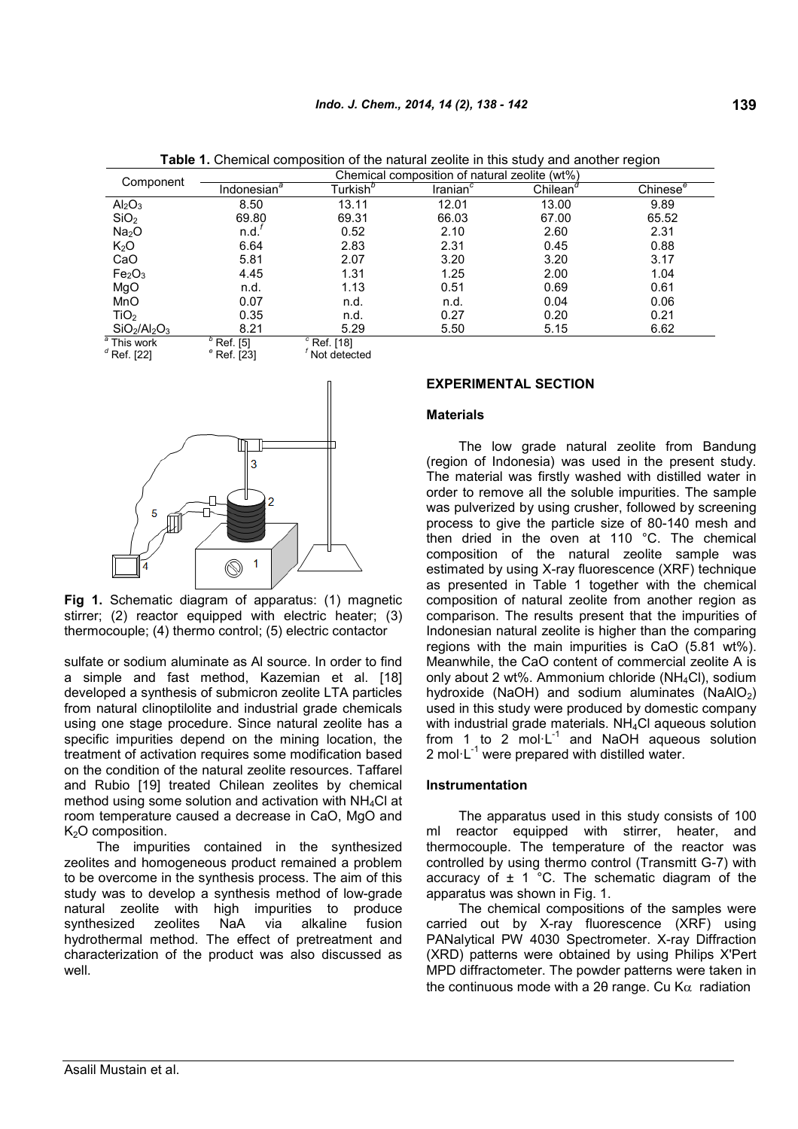|                                | Chemical composition of natural zeolite (wt%) |                         |                      |                      |               |  |
|--------------------------------|-----------------------------------------------|-------------------------|----------------------|----------------------|---------------|--|
| Component                      | Indonesian <sup>®</sup>                       | Turkish <sup>b</sup>    | Iranian <sup>c</sup> | Chilean <sup>o</sup> | Chinese $e^e$ |  |
| Al <sub>2</sub> O <sub>3</sub> | 8.50                                          | 13.11                   | 12.01                | 13.00                | 9.89          |  |
| SiO <sub>2</sub>               | 69.80                                         | 69.31                   | 66.03                | 67.00                | 65.52         |  |
| Na <sub>2</sub> O              | n.d.                                          | 0.52                    | 2.10                 | 2.60                 | 2.31          |  |
| K <sub>2</sub> O               | 6.64                                          | 2.83                    | 2.31                 | 0.45                 | 0.88          |  |
| CaO                            | 5.81                                          | 2.07                    | 3.20                 | 3.20                 | 3.17          |  |
| Fe <sub>2</sub> O <sub>3</sub> | 4.45                                          | 1.31                    | 1.25                 | 2.00                 | 1.04          |  |
| MgO                            | n.d.                                          | 1.13                    | 0.51                 | 0.69                 | 0.61          |  |
| MnO                            | 0.07                                          | n.d.                    | n.d.                 | 0.04                 | 0.06          |  |
| TiO <sub>2</sub>               | 0.35                                          | n.d.                    | 0.27                 | 0.20                 | 0.21          |  |
| $SiO2/Al2O3$                   | 8.21                                          | 5.29                    | 5.50                 | 5.15                 | 6.62          |  |
| $\sqrt[a]{\text{This}}$ work   | $\sqrt[p]{ }$ Ref. [5]                        | $\sqrt[c]{ }$ Ref. [18] |                      |                      |               |  |
| $^d$ Ref. [22]                 | $e^{\circ}$ Ref. [23]                         | Not detected            |                      |                      |               |  |

**Table 1.** Chemical composition of the natural zeolite in this study and another region



**Fig 1.** Schematic diagram of apparatus: (1) magnetic stirrer; (2) reactor equipped with electric heater; (3) thermocouple; (4) thermo control; (5) electric contactor

sulfate or sodium aluminate as Al source. In order to find a simple and fast method, Kazemian et al. [18] developed a synthesis of submicron zeolite LTA particles from natural clinoptilolite and industrial grade chemicals using one stage procedure. Since natural zeolite has a specific impurities depend on the mining location, the treatment of activation requires some modification based on the condition of the natural zeolite resources. Taffarel and Rubio [19] treated Chilean zeolites by chemical method using some solution and activation with  $NH<sub>4</sub>Cl$  at room temperature caused a decrease in CaO, MgO and K<sub>2</sub>O composition.

The impurities contained in the synthesized zeolites and homogeneous product remained a problem to be overcome in the synthesis process. The aim of this study was to develop a synthesis method of low-grade natural zeolite with high impurities to produce synthesized zeolites NaA via alkaline fusion hydrothermal method. The effect of pretreatment and characterization of the product was also discussed as well.

### **EXPERIMENTAL SECTION**

#### **Materials**

The low grade natural zeolite from Bandung (region of Indonesia) was used in the present study. The material was firstly washed with distilled water in order to remove all the soluble impurities. The sample was pulverized by using crusher, followed by screening process to give the particle size of 80-140 mesh and then dried in the oven at 110 °C. The chemical composition of the natural zeolite sample was estimated by using X-ray fluorescence (XRF) technique as presented in Table 1 together with the chemical composition of natural zeolite from another region as comparison. The results present that the impurities of Indonesian natural zeolite is higher than the comparing regions with the main impurities is CaO (5.81 wt%). Meanwhile, the CaO content of commercial zeolite A is only about 2 wt%. Ammonium chloride (NH4Cl), sodium hydroxide (NaOH) and sodium aluminates (NaAlO $_2$ ) used in this study were produced by domestic company with industrial grade materials. NH<sub>4</sub>Cl aqueous solution from 1 to 2 mol $\cdot$ L<sup>-1</sup> and NaOH aqueous solution 2 mol $\cdot$ L<sup>-1</sup> were prepared with distilled water.

#### **Instrumentation**

The apparatus used in this study consists of 100 ml reactor equipped with stirrer, heater, and thermocouple. The temperature of the reactor was controlled by using thermo control (Transmitt G-7) with accuracy of  $\pm$  1 °C. The schematic diagram of the apparatus was shown in Fig. 1.

The chemical compositions of the samples were carried out by X-ray fluorescence (XRF) using PANalytical PW 4030 Spectrometer. X-ray Diffraction (XRD) patterns were obtained by using Philips X'Pert MPD diffractometer. The powder patterns were taken in the continuous mode with a 20 range. Cu K $\alpha$  radiation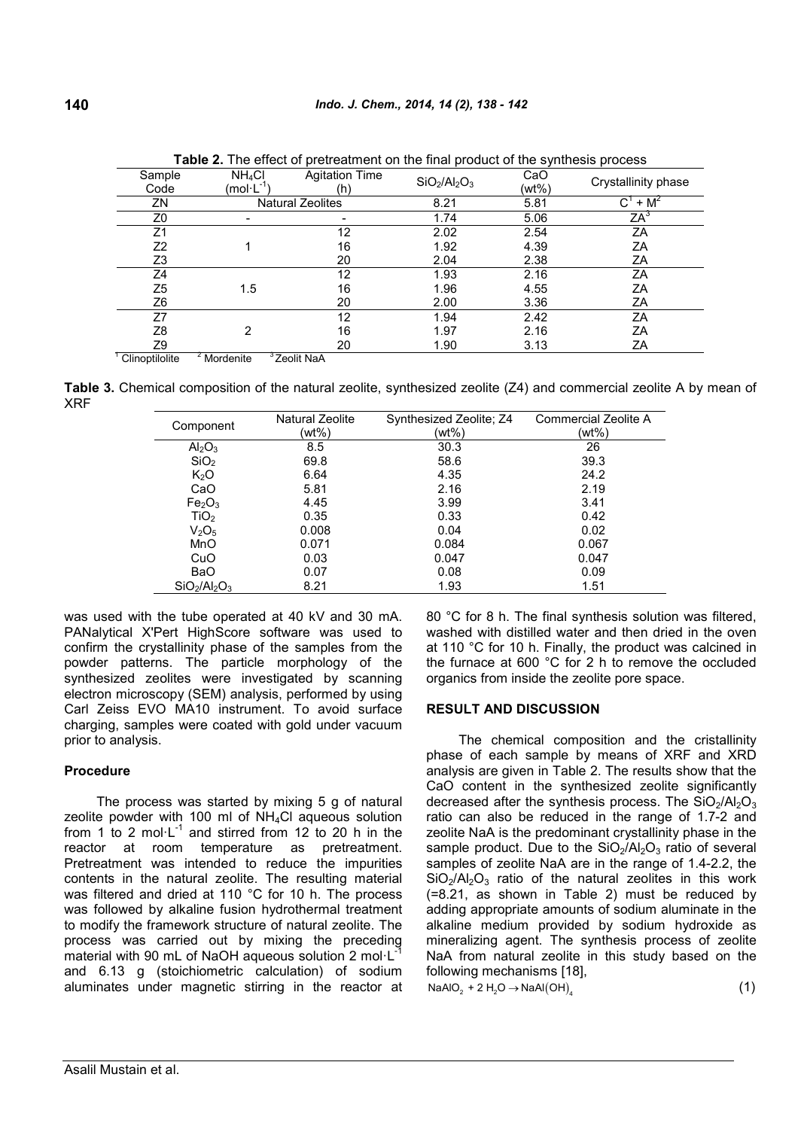| Sample<br>Code              | NH <sub>4</sub> Cl<br>$(mol·L^{-1})$ | <b>Agitation Time</b><br>(h) | $SiO2/Al2O3$ | CaO<br>(wt%) | Crystallinity phase                  |  |
|-----------------------------|--------------------------------------|------------------------------|--------------|--------------|--------------------------------------|--|
| ZN                          |                                      | <b>Natural Zeolites</b>      | 8.21         | 5.81         | $+ M^2$<br>$\mathsf{C}^{\mathsf{I}}$ |  |
| Z0                          |                                      |                              | 1.74         | 5.06         | ΖA <sup>3</sup>                      |  |
| Z1                          |                                      | 12                           | 2.02         | 2.54         | ΖA                                   |  |
| Z <sub>2</sub>              |                                      | 16                           | 1.92         | 4.39         | ΖA                                   |  |
| Z3                          |                                      | 20                           | 2.04         | 2.38         | ΖA                                   |  |
| Ζ4                          |                                      | 12                           | 1.93         | 2.16         | ZA                                   |  |
| Z5                          | 1.5                                  | 16                           | 1.96         | 4.55         | ΖA                                   |  |
| Z6                          |                                      | 20                           | 2.00         | 3.36         | ΖA                                   |  |
| Z7                          |                                      | 12                           | 1.94         | 2.42         | ΖA                                   |  |
| Z8                          | 2                                    | 16                           | 1.97         | 2.16         | ΖA                                   |  |
| Z9                          |                                      | 20                           | 1.90         | 3.13         | ΖA                                   |  |
| $\sim$ $\sim$ $\sim$ $\sim$ | $2 - 1 - 2$                          | $3 - m + m$                  |              |              |                                      |  |

**Table 2.** The effect of pretreatment on the final product of the synthesis process

 $C$ linoptilolite  $<sup>2</sup>$  Mordenite</sup>  $^{\circ}$ Zeolit NaA

**Table 3.** Chemical composition of the natural zeolite, synthesized zeolite (Z4) and commercial zeolite A by mean of XRF

| Component                      | <b>Natural Zeolite</b> | Synthesized Zeolite; Z4 | Commercial Zeolite A |
|--------------------------------|------------------------|-------------------------|----------------------|
|                                | (wt%)                  | (wt%)                   | (wt%)                |
| Al <sub>2</sub> O <sub>3</sub> | 8.5                    | 30.3                    | 26                   |
| SiO <sub>2</sub>               | 69.8                   | 58.6                    | 39.3                 |
| K <sub>2</sub> O               | 6.64                   | 4.35                    | 24.2                 |
| CaO                            | 5.81                   | 2.16                    | 2.19                 |
| Fe <sub>2</sub> O <sub>3</sub> | 4.45                   | 3.99                    | 3.41                 |
| TiO <sub>2</sub>               | 0.35                   | 0.33                    | 0.42                 |
| V <sub>2</sub> O <sub>5</sub>  | 0.008                  | 0.04                    | 0.02                 |
| MnO                            | 0.071                  | 0.084                   | 0.067                |
| CuO                            | 0.03                   | 0.047                   | 0.047                |
| <b>BaO</b>                     | 0.07                   | 0.08                    | 0.09                 |
| $SiO2/Al2O3$                   | 8.21                   | 1.93                    | 1.51                 |

was used with the tube operated at 40 kV and 30 mA. PANalytical X'Pert HighScore software was used to confirm the crystallinity phase of the samples from the powder patterns. The particle morphology of the synthesized zeolites were investigated by scanning electron microscopy (SEM) analysis, performed by using Carl Zeiss EVO MA10 instrument. To avoid surface charging, samples were coated with gold under vacuum prior to analysis.

### **Procedure**

The process was started by mixing 5 g of natural zeolite powder with 100 ml of NH4Cl aqueous solution from 1 to 2 mol $\cdot$ L<sup>-1</sup> and stirred from 12 to 20 h in the reactor at room temperature as pretreatment. Pretreatment was intended to reduce the impurities contents in the natural zeolite. The resulting material was filtered and dried at 110 °C for 10 h. The process was followed by alkaline fusion hydrothermal treatment to modify the framework structure of natural zeolite. The process was carried out by mixing the preceding material with 90 mL of NaOH aqueous solution 2 mol $\cdot L^{\frac{1}{7}}$ and 6.13 g (stoichiometric calculation) of sodium aluminates under magnetic stirring in the reactor at 80 °C for 8 h. The final synthesis solution was filtered, washed with distilled water and then dried in the oven at 110 °C for 10 h. Finally, the product was calcined in the furnace at 600 °C for 2 h to remove the occluded organics from inside the zeolite pore space.

# **RESULT AND DISCUSSION**

The chemical composition and the cristallinity phase of each sample by means of XRF and XRD analysis are given in Table 2. The results show that the CaO content in the synthesized zeolite significantly decreased after the synthesis process. The  $SiO<sub>2</sub>/Al<sub>2</sub>O<sub>3</sub>$ ratio can also be reduced in the range of 1.7-2 and zeolite NaA is the predominant crystallinity phase in the sample product. Due to the  $SiO<sub>2</sub>/Al<sub>2</sub>O<sub>3</sub>$  ratio of several samples of zeolite NaA are in the range of 1.4-2.2, the  $SiO<sub>2</sub>/Al<sub>2</sub>O<sub>3</sub>$  ratio of the natural zeolites in this work (=8.21, as shown in Table 2) must be reduced by adding appropriate amounts of sodium aluminate in the alkaline medium provided by sodium hydroxide as mineralizing agent. The synthesis process of zeolite NaA from natural zeolite in this study based on the following mechanisms [18],

 $\text{NaAlO}_2 + 2 \text{ H}_2\text{O} \rightarrow \text{NaAl(OH)}_4$  (1)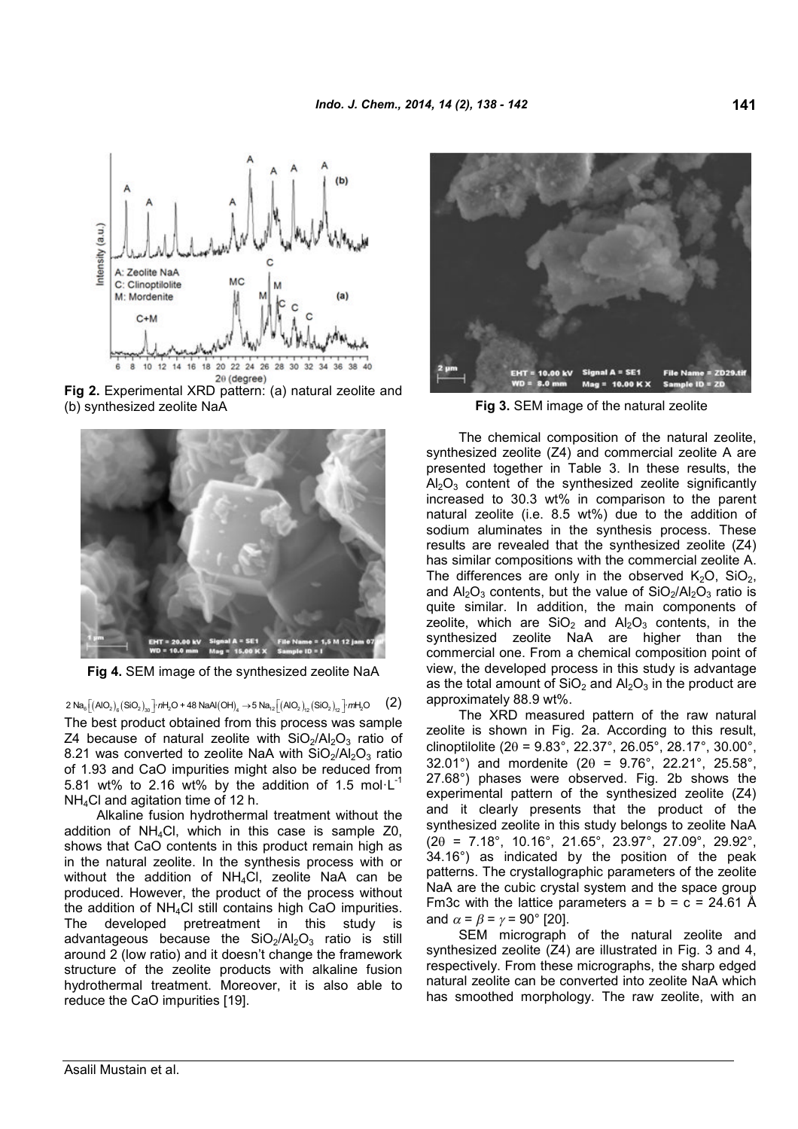

**Fig 2.** Experimental XRD pattern: (a) natural zeolite and (b) synthesized zeolite NaA **Fig 3.** SEM image of the natural zeolite



**Fig 4.** SEM image of the synthesized zeolite NaA

 $2$  Na<sub>s</sub> $\left[\left(\mathsf{AIO}_2\right)_6\right. \left(\mathsf{SiO}_2\right)_{30}\right]$   $n$ H<sub>2</sub>O + 48 NaAl $\left(\mathsf{OH}\right)_4 \rightarrow$  5 Na $_{12}\left[\left(\mathsf{AIO}_2\right)_{12}\left(\mathsf{SiO}_2\right)_{12}\right]$   $m$ H<sub>2</sub>O  $\qquad$   $\qquad$   $\qquad$   $\qquad$ The best product obtained from this process was sample Z4 because of natural zeolite with  $SiO<sub>2</sub>/Al<sub>2</sub>O<sub>3</sub>$  ratio of 8.21 was converted to zeolite NaA with  $SiO<sub>2</sub>/Al<sub>2</sub>O<sub>3</sub>$  ratio of 1.93 and CaO impurities might also be reduced from 5.81 wt% to 2.16 wt% by the addition of 1.5 mol $\cdot$ L<sup>-1</sup> NH4Cl and agitation time of 12 h.

Alkaline fusion hydrothermal treatment without the addition of  $NH_4C$ . which in this case is sample  $Z_0$ . shows that CaO contents in this product remain high as in the natural zeolite. In the synthesis process with or without the addition of  $NH<sub>4</sub>Cl$ , zeolite NaA can be produced. However, the product of the process without the addition of NH4Cl still contains high CaO impurities. The developed pretreatment in this study is advantageous because the  $SiO<sub>2</sub>/Al<sub>2</sub>O<sub>3</sub>$  ratio is still around 2 (low ratio) and it doesn't change the framework structure of the zeolite products with alkaline fusion hydrothermal treatment. Moreover, it is also able to reduce the CaO impurities [19].



The chemical composition of the natural zeolite, synthesized zeolite (Z4) and commercial zeolite A are presented together in Table 3. In these results, the  $Al_2O_3$  content of the synthesized zeolite significantly increased to 30.3 wt% in comparison to the parent natural zeolite (i.e. 8.5 wt%) due to the addition of sodium aluminates in the synthesis process. These results are revealed that the synthesized zeolite (Z4) has similar compositions with the commercial zeolite A. The differences are only in the observed  $K_2O$ ,  $SiO<sub>2</sub>$ , and  $Al_2O_3$  contents, but the value of  $SiO_2/Al_2O_3$  ratio is quite similar. In addition, the main components of zeolite, which are  $SiO<sub>2</sub>$  and  $Al<sub>2</sub>O<sub>3</sub>$  contents, in the synthesized zeolite NaA are higher than the commercial one. From a chemical composition point of view, the developed process in this study is advantage as the total amount of  $SiO<sub>2</sub>$  and  $Al<sub>2</sub>O<sub>3</sub>$  in the product are approximately 88.9 wt%.

The XRD measured pattern of the raw natural zeolite is shown in Fig. 2a. According to this result, clinoptilolite (2 $\theta$  = 9.83°, 22.37°, 26.05°, 28.17°, 30.00°, 32.01°) and mordenite (2 $\theta$  = 9.76°, 22.21°, 25.58°, 27.68°) phases were observed. Fig. 2b shows the experimental pattern of the synthesized zeolite (Z4) and it clearly presents that the product of the synthesized zeolite in this study belongs to zeolite NaA  $(2\theta = 7.18^{\circ}, 10.16^{\circ}, 21.65^{\circ}, 23.97^{\circ}, 27.09^{\circ}, 29.92^{\circ},$ 34.16°) as indicated by the position of the peak patterns. The crystallographic parameters of the zeolite NaA are the cubic crystal system and the space group Fm3c with the lattice parameters  $a = b = c = 24.61$  Å and  $\alpha = \beta = \gamma = 90^{\circ}$  [20].

SEM micrograph of the natural zeolite and synthesized zeolite (Z4) are illustrated in Fig. 3 and 4, respectively. From these micrographs, the sharp edged natural zeolite can be converted into zeolite NaA which has smoothed morphology. The raw zeolite, with an